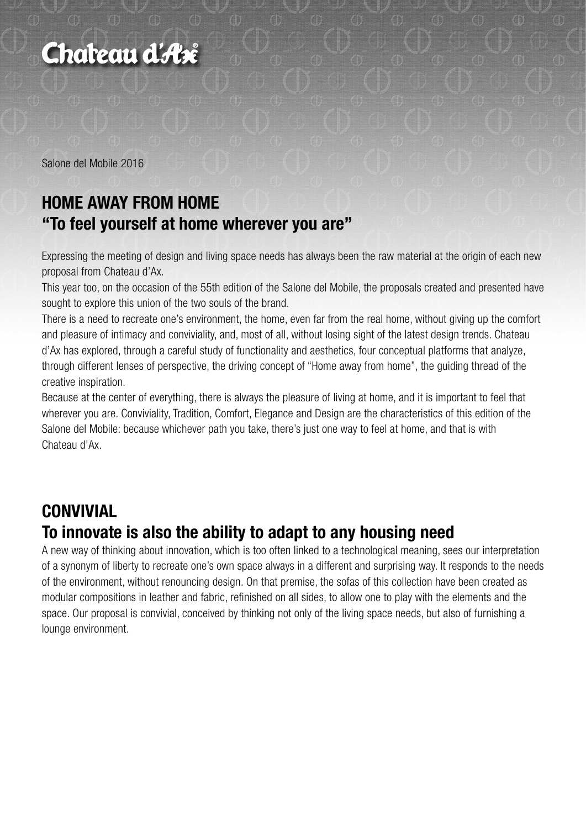

Salone del Mobile 2016

### **HOME AWAY FROM HOME "To feel yourself at home wherever you are"**

Expressing the meeting of design and living space needs has always been the raw material at the origin of each new proposal from Chateau d'Ax.

This year too, on the occasion of the 55th edition of the Salone del Mobile, the proposals created and presented have sought to explore this union of the two souls of the brand.

There is a need to recreate one's environment, the home, even far from the real home, without giving up the comfort and pleasure of intimacy and conviviality, and, most of all, without losing sight of the latest design trends. Chateau d'Ax has explored, through a careful study of functionality and aesthetics, four conceptual platforms that analyze, through different lenses of perspective, the driving concept of "Home away from home", the guiding thread of the creative inspiration.

Because at the center of everything, there is always the pleasure of living at home, and it is important to feel that wherever you are. Conviviality, Tradition, Comfort, Elegance and Design are the characteristics of this edition of the Salone del Mobile: because whichever path you take, there's just one way to feel at home, and that is with Chateau d'Ax.

#### **CONVIVIAL To innovate is also the ability to adapt to any housing need**

A new way of thinking about innovation, which is too often linked to a technological meaning, sees our interpretation of a synonym of liberty to recreate one's own space always in a different and surprising way. It responds to the needs of the environment, without renouncing design. On that premise, the sofas of this collection have been created as modular compositions in leather and fabric, refinished on all sides, to allow one to play with the elements and the space. Our proposal is convivial, conceived by thinking not only of the living space needs, but also of furnishing a lounge environment.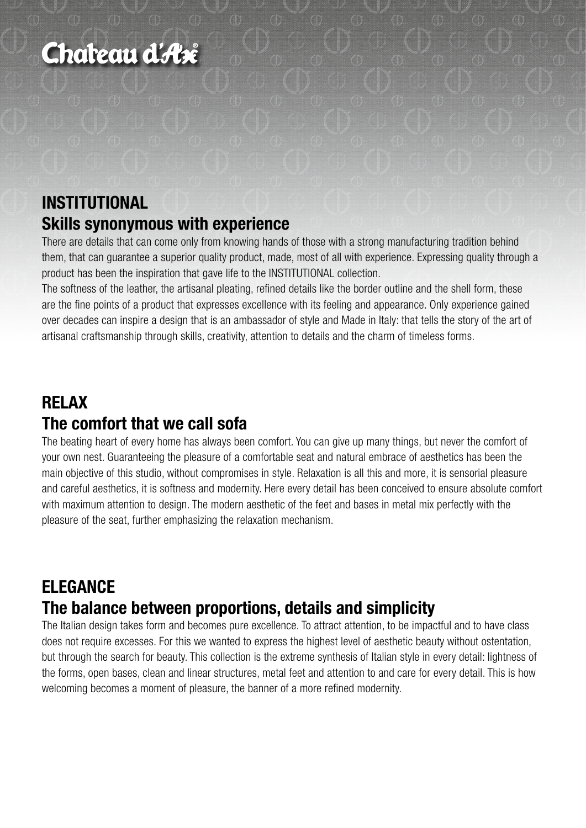# Chateau d'Ase

# **INSTITUTIONAL Skills synonymous with experience**

There are details that can come only from knowing hands of those with a strong manufacturing tradition behind them, that can guarantee a superior quality product, made, most of all with experience. Expressing quality through a product has been the inspiration that gave life to the INSTITUTIONAL collection.

The softness of the leather, the artisanal pleating, refined details like the border outline and the shell form, these are the fine points of a product that expresses excellence with its feeling and appearance. Only experience gained over decades can inspire a design that is an ambassador of style and Made in Italy: that tells the story of the art of artisanal craftsmanship through skills, creativity, attention to details and the charm of timeless forms.

# **RELAX The comfort that we call sofa**

The beating heart of every home has always been comfort. You can give up many things, but never the comfort of your own nest. Guaranteeing the pleasure of a comfortable seat and natural embrace of aesthetics has been the main objective of this studio, without compromises in style. Relaxation is all this and more, it is sensorial pleasure and careful aesthetics, it is softness and modernity. Here every detail has been conceived to ensure absolute comfort with maximum attention to design. The modern aesthetic of the feet and bases in metal mix perfectly with the pleasure of the seat, further emphasizing the relaxation mechanism.

#### **ELEGANCE The balance between proportions, details and simplicity**

The Italian design takes form and becomes pure excellence. To attract attention, to be impactful and to have class does not require excesses. For this we wanted to express the highest level of aesthetic beauty without ostentation, but through the search for beauty. This collection is the extreme synthesis of Italian style in every detail: lightness of the forms, open bases, clean and linear structures, metal feet and attention to and care for every detail. This is how welcoming becomes a moment of pleasure, the banner of a more refined modernity.